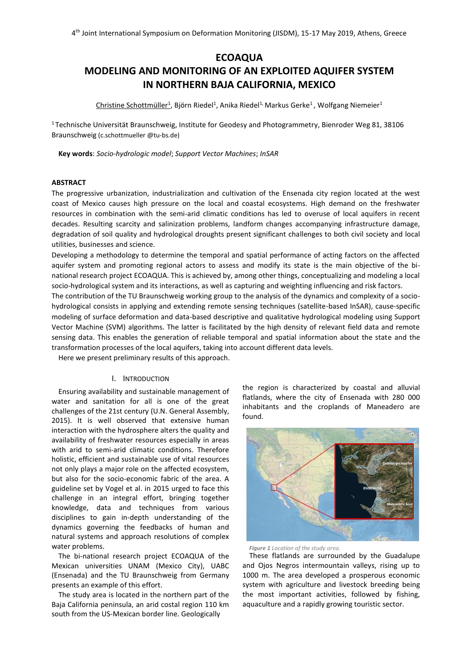# **ECOAQUA**

# **MODELING AND MONITORING OF AN EXPLOITED AQUIFER SYSTEM IN NORTHERN BAJA CALIFORNIA, MEXICO**

Christine Schottmüller<sup>1</sup>, Björn Riedel<sup>1</sup>, Anika Riedel<sup>1,</sup> Markus Gerke<sup>1</sup> , Wolfgang Niemeier<sup>1</sup>

<sup>1</sup> Technische Universität Braunschweig, Institute for Geodesy and Photogrammetry, Bienroder Weg 81, 38106 Braunschweig (c.schottmueller @tu-bs.de)

**Key words**: *Socio-hydrologic model*; *Support Vector Machines*; *InSAR*

### **ABSTRACT**

The progressive urbanization, industrialization and cultivation of the Ensenada city region located at the west coast of Mexico causes high pressure on the local and coastal ecosystems. High demand on the freshwater resources in combination with the semi-arid climatic conditions has led to overuse of local aquifers in recent decades. Resulting scarcity and salinization problems, landform changes accompanying infrastructure damage, degradation of soil quality and hydrological droughts present significant challenges to both civil society and local utilities, businesses and science.

Developing a methodology to determine the temporal and spatial performance of acting factors on the affected aquifer system and promoting regional actors to assess and modify its state is the main objective of the binational research project ECOAQUA. This is achieved by, among other things, conceptualizing and modeling a local socio-hydrological system and its interactions, as well as capturing and weighting influencing and risk factors.

The contribution of the TU Braunschweig working group to the analysis of the dynamics and complexity of a sociohydrological consists in applying and extending remote sensing techniques (satellite-based InSAR), cause-specific modeling of surface deformation and data-based descriptive and qualitative hydrological modeling using Support Vector Machine (SVM) algorithms. The latter is facilitated by the high density of relevant field data and remote sensing data. This enables the generation of reliable temporal and spatial information about the state and the transformation processes of the local aquifers, taking into account different data levels.

Here we present preliminary results of this approach.

### I. INTRODUCTION

Ensuring availability and sustainable management of water and sanitation for all is one of the great challenges of the 21st century (U.N. General Assembly, 2015). It is well observed that extensive human interaction with the hydrosphere alters the quality and availability of freshwater resources especially in areas with arid to semi-arid climatic conditions. Therefore holistic, efficient and sustainable use of vital resources not only plays a major role on the affected ecosystem, but also for the socio-economic fabric of the area. A guideline set by Vogel et al. in 2015 urged to face this challenge in an integral effort, bringing together knowledge, data and techniques from various disciplines to gain in-depth understanding of the dynamics governing the feedbacks of human and natural systems and approach resolutions of complex water problems.

The bi-national research project ECOAQUA of the Mexican universities UNAM (Mexico City), UABC (Ensenada) and the TU Braunschweig from Germany presents an example of this effort.

The study area is located in the northern part of the Baja California peninsula, an arid costal region 110 km south from the US-Mexican border line. Geologically

the region is characterized by coastal and alluvial flatlands, where the city of Ensenada with 280 000 inhabitants and the croplands of Maneadero are found.



*Figure 1 Location of the study area.*

These flatlands are surrounded by the Guadalupe and Ojos Negros intermountain valleys, rising up to 1000 m. The area developed a prosperous economic system with agriculture and livestock breeding being the most important activities, followed by fishing, aquaculture and a rapidly growing touristic sector.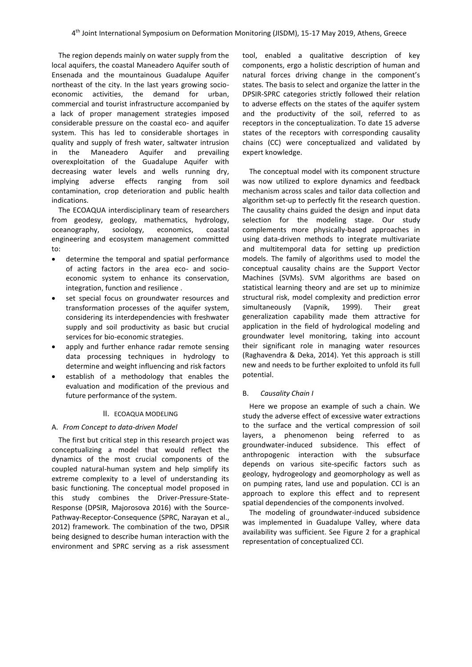The region depends mainly on water supply from the local aquifers, the coastal Maneadero Aquifer south of Ensenada and the mountainous Guadalupe Aquifer northeast of the city. In the last years growing socioeconomic activities, the demand for urban, commercial and tourist infrastructure accompanied by a lack of proper management strategies imposed considerable pressure on the coastal eco- and aquifer system. This has led to considerable shortages in quality and supply of fresh water, saltwater intrusion in the Maneadero Aquifer and prevailing overexploitation of the Guadalupe Aquifer with decreasing water levels and wells running dry, implying adverse effects ranging from soil contamination, crop deterioration and public health indications.

The ECOAQUA interdisciplinary team of researchers from geodesy, geology, mathematics, hydrology, oceanography, sociology, economics, coastal engineering and ecosystem management committed to:

- determine the temporal and spatial performance of acting factors in the area eco- and socioeconomic system to enhance its conservation, integration, function and resilience .
- set special focus on groundwater resources and transformation processes of the aquifer system, considering its interdependencies with freshwater supply and soil productivity as basic but crucial services for bio-economic strategies.
- apply and further enhance radar remote sensing data processing techniques in hydrology to determine and weight influencing and risk factors
- establish of a methodology that enables the evaluation and modification of the previous and future performance of the system.

# II. ECOAQUA MODELING

# A. *From Concept to data-driven Model*

The first but critical step in this research project was conceptualizing a model that would reflect the dynamics of the most crucial components of the coupled natural-human system and help simplify its extreme complexity to a level of understanding its basic functioning. The conceptual model proposed in this study combines the Driver-Pressure-State-Response (DPSIR, Majorosova 2016) with the Source-Pathway-Receptor-Consequence (SPRC, Narayan et al., 2012) framework. The combination of the two, DPSIR being designed to describe human interaction with the environment and SPRC serving as a risk assessment tool, enabled a qualitative description of key components, ergo a holistic description of human and natural forces driving change in the component's states. The basis to select and organize the latter in the DPSIR-SPRC categories strictly followed their relation to adverse effects on the states of the aquifer system and the productivity of the soil, referred to as receptors in the conceptualization. To date 15 adverse states of the receptors with corresponding causality chains (CC) were conceptualized and validated by expert knowledge.

The conceptual model with its component structure was now utilized to explore dynamics and feedback mechanism across scales and tailor data collection and algorithm set-up to perfectly fit the research question. The causality chains guided the design and input data selection for the modeling stage. Our study complements more physically-based approaches in using data-driven methods to integrate multivariate and multitemporal data for setting up prediction models. The family of algorithms used to model the conceptual causality chains are the Support Vector Machines (SVMs). SVM algorithms are based on statistical learning theory and are set up to minimize structural risk, model complexity and prediction error simultaneously (Vapnik, 1999). Their great generalization capability made them attractive for application in the field of hydrological modeling and groundwater level monitoring, taking into account their significant role in managing water resources (Raghavendra & Deka, 2014). Yet this approach is still new and needs to be further exploited to unfold its full potential.

### B. *Causality Chain I*

Here we propose an example of such a chain. We study the adverse effect of excessive water extractions to the surface and the vertical compression of soil layers, a phenomenon being referred to as groundwater-induced subsidence. This effect of anthropogenic interaction with the subsurface depends on various site-specific factors such as geology, hydrogeology and geomorphology as well as on pumping rates, land use and population. CCI is an approach to explore this effect and to represent spatial dependencies of the components involved.

The modeling of groundwater-induced subsidence was implemented in Guadalupe Valley, where data availability was sufficient. See Figure 2 for a graphical representation of conceptualized CCI.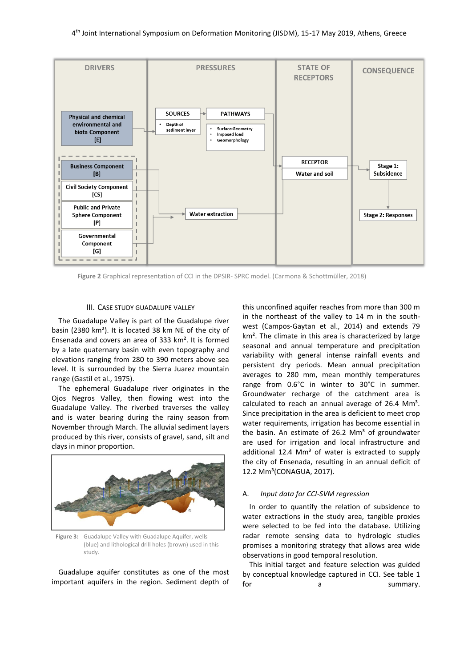

**Figure 2** Graphical representation of CCI in the DPSIR- SPRC model. (Carmona & Schottmüller, 2018)

# III. CASE STUDY GUADALUPE VALLEY

The Guadalupe Valley is part of the Guadalupe river basin (2380 km²). It is located 38 km NE of the city of Ensenada and covers an area of 333 km². It is formed by a late quaternary basin with even topography and elevations ranging from 280 to 390 meters above sea level. It is surrounded by the Sierra Juarez mountain range (Gastil et al., 1975).

The ephemeral Guadalupe river originates in the Ojos Negros Valley, then flowing west into the Guadalupe Valley. The riverbed traverses the valley and is water bearing during the rainy season from November through March. The alluvial sediment layers produced by this river, consists of gravel, sand, silt and clays in minor proportion.



**Figure 3:** Guadalupe Valley with Guadalupe Aquifer, wells (blue) and lithological drill holes (brown) used in this study.

Guadalupe aquifer constitutes as one of the most important aquifers in the region. Sediment depth of this unconfined aquifer reaches from more than 300 m in the northeast of the valley to 14 m in the southwest (Campos-Gaytan et al., 2014) and extends 79 km². The climate in this area is characterized by large seasonal and annual temperature and precipitation variability with general intense rainfall events and persistent dry periods. Mean annual precipitation averages to 280 mm, mean monthly temperatures range from 0.6°C in winter to 30°C in summer. Groundwater recharge of the catchment area is calculated to reach an annual average of  $26.4 \, \text{Mm}^3$ . Since precipitation in the area is deficient to meet crop water requirements, irrigation has become essential in the basin. An estimate of 26.2  $\text{Mm}^3$  of groundwater are used for irrigation and local infrastructure and additional 12.4  $\text{Mm}^3$  of water is extracted to supply the city of Ensenada, resulting in an annual deficit of 12.2 Mm³(CONAGUA, 2017).

### A. *Input data for CCI-SVM regression*

In order to quantify the relation of subsidence to water extractions in the study area, tangible proxies were selected to be fed into the database. Utilizing radar remote sensing data to hydrologic studies promises a monitoring strategy that allows area wide observations in good temporal resolution.

This initial target and feature selection was guided by conceptual knowledge captured in CCI. See table 1 for a summary.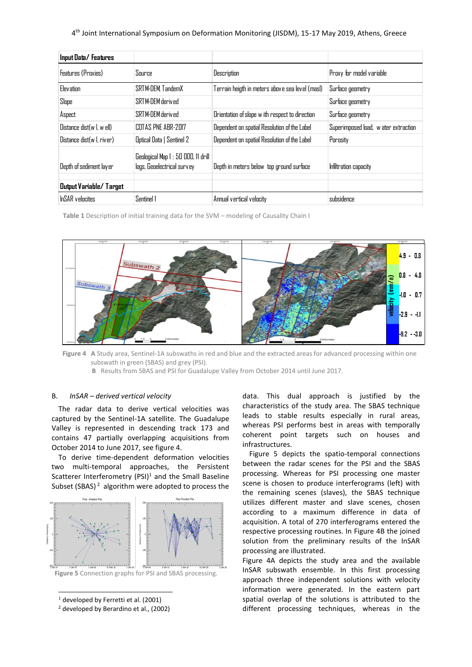4 th Joint International Symposium on Deformation Monitoring (JISDM), 15-17 May 2019, Athens, Greece

| Input Data/Features           |                                                                   |                                                 |                                      |
|-------------------------------|-------------------------------------------------------------------|-------------------------------------------------|--------------------------------------|
| Features (Proxies)            | Source                                                            | Description                                     | Proxy for model variable             |
| Elevation                     | SRTM-DEM TandemX                                                  | Terrain heigth in meters above sea level (masl) | Surface geometry                     |
| Slope                         | SRTM-DFM derived                                                  |                                                 | Surface geometry                     |
| Aspect                        | SRTM-DEM derived                                                  | Orientation of slope w ith respect to direction | Surface geometry                     |
| Distance dist(w I, w ell)     | COTAS PNE ABR-2017                                                | Dependent on spatial Resolution of the Label    | Superimposed load, w ater extraction |
| Distance dist(w I, river)     | Optical Data   Sentinel 2                                         | Dependent on spatial Resolution of the Label    | Porosity                             |
| Depth of sediment layer       | Geological Map 1 : 50 000, 11 drill<br>logs, Geoelectrical survey | Depth in meters below top ground surface        | Infiltration capacity                |
| <b>Output Variable/Target</b> |                                                                   |                                                 |                                      |
| <b>InSAR</b> velocites        | Sentinel 1                                                        | Annual vertical velocity                        | subsidence                           |

**Table 1** Description of initial training data for the SVM – modeling of Causality Chain I



**Figure 4 A** Study area, Sentinel-1A subswaths in red and blue and the extracted areas for advanced processing within one subswath in green (SBAS) and grey (PSI).

 **B** Results from SBAS and PSI for Guadalupe Valley from October 2014 until June 2017.

# B. *InSAR – derived vertical velocity*

The radar data to derive vertical velocities was captured by the Sentinel-1A satellite. The Guadalupe Valley is represented in descending track 173 and contains 47 partially overlapping acquisitions from October 2014 to June 2017, see figure 4.

To derive time-dependent deformation velocities two multi-temporal approaches, the Persistent Scatterer Interferometry (PSI) $1$  and the Small Baseline Subset (SBAS)  $2$  algorithm were adopted to process the



**Figure 5** Connection graphs for PSI and SBAS processing.

data. This dual approach is justified by the characteristics of the study area. The SBAS technique leads to stable results especially in rural areas, whereas PSI performs best in areas with temporally coherent point targets such on houses and infrastructures.

Figure 5 depicts the spatio-temporal connections between the radar scenes for the PSI and the SBAS processing. Whereas for PSI processing one master scene is chosen to produce interferograms (left) with the remaining scenes (slaves), the SBAS technique utilizes different master and slave scenes, chosen according to a maximum difference in data of acquisition. A total of 270 interferograms entered the respective processing routines. In Figure 4B the joined solution from the preliminary results of the InSAR processing are illustrated.

Figure 4A depicts the study area and the available InSAR subswath ensemble. In this first processing approach three independent solutions with velocity information were generated. In the eastern part spatial overlap of the solutions is attributed to the different processing techniques, whereas in the

l  $<sup>1</sup>$  developed by Ferretti et al. (2001)</sup>

<sup>2</sup> developed by Berardino et al., (2002)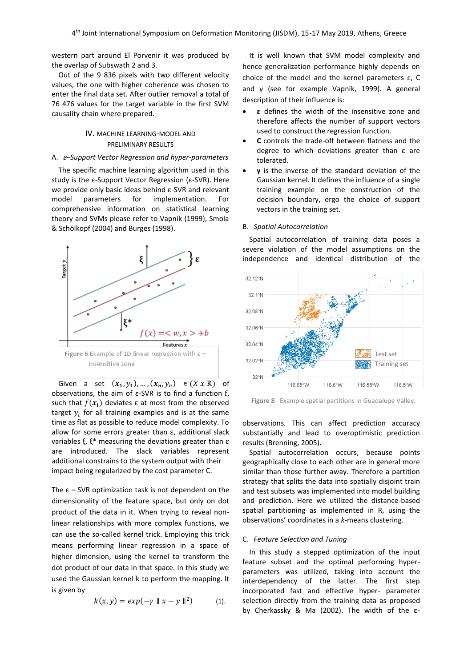western part around El Porvenir it was produced by the overlap of Subswath 2 and 3.

Out of the 9 836 pixels with two different velocity values, the one with higher coherence was chosen to enter the final data set. After outlier removal a total of 76 476 values for the target variable in the first SVM causality chain where prepared.

# IV. MACHINE LEARNING-MODEL AND PRELIMINARY RESULTS

# A. <sup>ε</sup>*–Support Vector Regression and hyper-parameters*

The specific machine learning algorithm used in this study is the ε-Support Vector Regression (ε-SVR). Here we provide only basic ideas behind ε-SVR and relevant model parameters for implementation. For comprehensive information on statistical learning theory and SVMs please refer to Vapnik (1999), Smola & Schölkopf (2004) and Burges (1998).



Given a set  $(x_1, y_1), ..., (x_n, y_n) \in (X \times \mathbb{R})$  of observations, the aim of ε-SVR is to find a function f, such that  $f(x_i)$  deviates  $\varepsilon$  at most from the observed target  $y_i$  for all training examples and is at the same time as flat as possible to reduce model complexity. To allow for some errors greater than ε, additional slack variables ξ, ξ\* measuring the deviations greater than  $ε$ are introduced. The slack variables represent additional constrains to the system output with their impact being regularized by the cost parameter C.

The  $\epsilon$  – SVR optimization task is not dependent on the dimensionality of the feature space, but only on dot product of the data in it. When trying to reveal nonlinear relationships with more complex functions, we can use the so-called kernel trick. Employing this trick means performing linear regression in a space of higher dimension, using the kernel to transform the dot product of our data in that space. In this study we used the Gaussian kernel k to perform the mapping. It is given by

$$
k(x, y) = exp(-\gamma \parallel x - y \parallel^2)
$$
 (1).

It is well known that SVM model complexity and hence generalization performance highly depends on choice of the model and the kernel parameters ε, C and γ (see for example Vapnik, 1999). A general description of their influence is:

- $\epsilon$  defines the width of the insensitive zone and therefore affects the number of support vectors used to construct the regression function.
- **C** controls the trade-off between flatness and the degree to which deviations greater than ε are tolerated.
- **γ** is the inverse of the standard deviation of the Gaussian kernel. It defines the influence of a single training example on the construction of the decision boundary, ergo the choice of support vectors in the training set.

#### B. *Spatial Autocorrelation*

Spatial autocorrelation of training data poses a severe violation of the model assumptions on the independence and identical distribution of the



**Figure 8** Example spatial partitions in Guadalupe Valley.

observations. This can affect prediction accuracy substantially and lead to overoptimistic prediction results (Brenning, 2005).

Spatial autocorrelation occurs, because points geographically close to each other are in general more similar than those further away. Therefore a partition strategy that splits the data into spatially disjoint train and test subsets was implemented into model building and prediction. Here we utilized the distance-based spatial partitioning as implemented in R, using the observations' coordinates in a *k*-means clustering.

#### C. *Feature Selection and Tuning*

In this study a stepped optimization of the input feature subset and the optimal performing hyperparameters was utilized, taking into account the interdependency of the latter. The first step incorporated fast and effective hyper- parameter selection directly from the training data as proposed by Cherkassky & Ma (2002). The width of the ε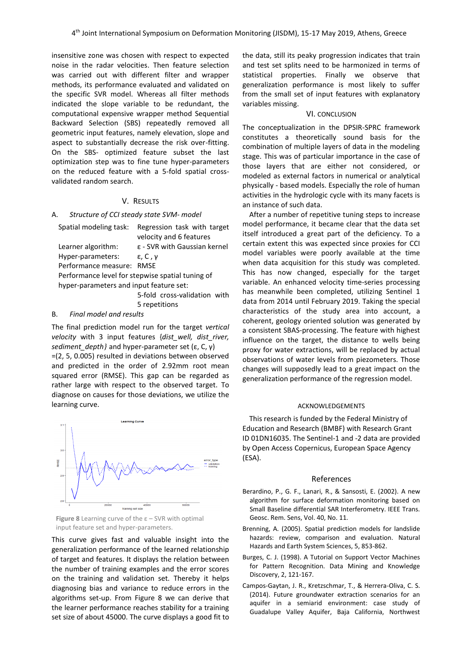insensitive zone was chosen with respect to expected noise in the radar velocities. Then feature selection was carried out with different filter and wrapper methods, its performance evaluated and validated on the specific SVR model. Whereas all filter methods indicated the slope variable to be redundant, the computational expensive wrapper method Sequential Backward Selection (SBS) repeatedly removed all geometric input features, namely elevation, slope and aspect to substantially decrease the risk over-fitting. On the SBS- optimized feature subset the last optimization step was to fine tune hyper-parameters on the reduced feature with a 5-fold spatial crossvalidated random search.

### V. RESULTS

# A. *Structure of CCI steady state SVM- model*

| Spatial modeling task:                           | Regression task with target<br>velocity and 6 features |  |  |
|--------------------------------------------------|--------------------------------------------------------|--|--|
|                                                  |                                                        |  |  |
| Learner algorithm:                               | $\epsilon$ - SVR with Gaussian kernel                  |  |  |
| Hyper-parameters:                                | $\epsilon$ , C, $\nu$                                  |  |  |
| Performance measure:                             | <b>RMSF</b>                                            |  |  |
| Performance level for stepwise spatial tuning of |                                                        |  |  |
| hyper-parameters and input feature set:          |                                                        |  |  |
|                                                  | 5-fold cross-validation with                           |  |  |

5 repetitions

### B. *Final model and results*

The final prediction model run for the target *vertical velocity* with 3 input features {*dist\_well, dist\_river, sediment depth}* and hyper-parameter set (ε, C, γ)

=(2, 5, 0.005) resulted in deviations between observed and predicted in the order of 2.92mm root mean squared error (RMSE). This gap can be regarded as rather large with respect to the observed target. To diagnose on causes for those deviations, we utilize the learning curve.



**Figure 8** Learning curve of the ε – SVR with optimal input feature set and hyper-parameters.

This curve gives fast and valuable insight into the generalization performance of the learned relationship of target and features. It displays the relation between the number of training examples and the error scores on the training and validation set. Thereby it helps diagnosing bias and variance to reduce errors in the algorithms set-up. From Figure 8 we can derive that the learner performance reaches stability for a training set size of about 45000. The curve displays a good fit to the data, still its peaky progression indicates that train and test set splits need to be harmonized in terms of statistical properties. Finally we observe that generalization performance is most likely to suffer from the small set of input features with explanatory variables missing.

### VI. CONCLUSION

The conceptualization in the DPSIR-SPRC framework constitutes a theoretically sound basis for the combination of multiple layers of data in the modeling stage. This was of particular importance in the case of those layers that are either not considered, or modeled as external factors in numerical or analytical physically - based models. Especially the role of human activities in the hydrologic cycle with its many facets is an instance of such data.

After a number of repetitive tuning steps to increase model performance, it became clear that the data set itself introduced a great part of the deficiency. To a certain extent this was expected since proxies for CCI model variables were poorly available at the time when data acquisition for this study was completed. This has now changed, especially for the target variable. An enhanced velocity time-series processing has meanwhile been completed, utilizing Sentinel 1 data from 2014 until February 2019. Taking the special characteristics of the study area into account, a coherent, geology oriented solution was generated by a consistent SBAS-processing. The feature with highest influence on the target, the distance to wells being proxy for water extractions, will be replaced by actual observations of water levels from piezometers. Those changes will supposedly lead to a great impact on the generalization performance of the regression model.

#### ACKNOWLEDGEMENTS

This research is funded by the Federal Ministry of Education and Research (BMBF) with Research Grant ID 01DN16035. The Sentinel-1 and -2 data are provided by Open Access Copernicus, European Space Agency (ESA).

#### References

- Berardino, P., G. F., Lanari, R., & Sansosti, E. (2002). A new algorithm for surface deformation monitoring based on Small Baseline differential SAR Interferometry. IEEE Trans. Geosc. Rem. Sens, Vol. 40, No. 11.
- Brenning, A. (2005). Spatial prediction models for landslide hazards: review, comparison and evaluation. Natural Hazards and Earth System Sciences, 5, 853-862.
- Burges, C. J. (1998). A Tutorial on Support Vector Machines for Pattern Recognition. Data Mining and Knowledge Discovery, 2, 121-167.
- Campos-Gaytan, J. R., Kretzschmar, T., & Herrera-Oliva, C. S. (2014). Future groundwater extraction scenarios for an aquifer in a semiarid environment: case study of Guadalupe Valley Aquifer, Baja California, Northwest